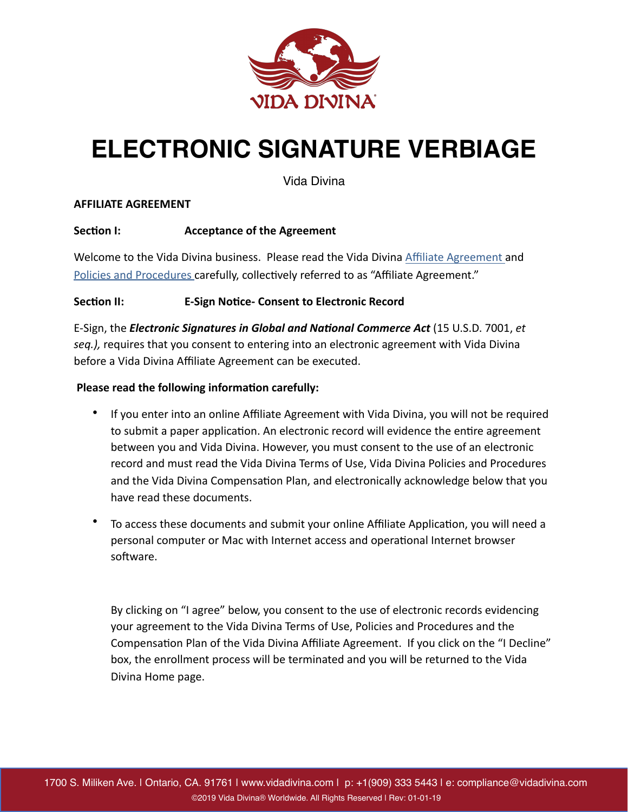

# **ELECTRONIC SIGNATURE VERBIAGE**

Vida Divina

### **AFFILIATE AGREEMENT**

## **Section I: CONFIDED Acceptance of the Agreement**

Welcome to the Vida Divina business. Please read the Vida Divina Affiliate Agreement and Policies and Procedures carefully, collectively referred to as "Affiliate Agreement."

# **Section II: E-Sign Notice- Consent to Electronic Record**

E-Sign, the *Electronic Signatures in Global and National Commerce Act* (15 U.S.D. 7001, *et* seq.), requires that you consent to entering into an electronic agreement with Vida Divina before a Vida Divina Affiliate Agreement can be executed.

## Please read the following information carefully:

- If you enter into an online Affiliate Agreement with Vida Divina, you will not be required to submit a paper application. An electronic record will evidence the entire agreement between you and Vida Divina. However, you must consent to the use of an electronic record and must read the Vida Divina Terms of Use, Vida Divina Policies and Procedures and the Vida Divina Compensation Plan, and electronically acknowledge below that you have read these documents.
- To access these documents and submit your online Affiliate Application, you will need a personal computer or Mac with Internet access and operational Internet browser software.

By clicking on "I agree" below, you consent to the use of electronic records evidencing your agreement to the Vida Divina Terms of Use, Policies and Procedures and the Compensation Plan of the Vida Divina Affiliate Agreement. If you click on the "I Decline" box, the enrollment process will be terminated and you will be returned to the Vida Divina Home page.